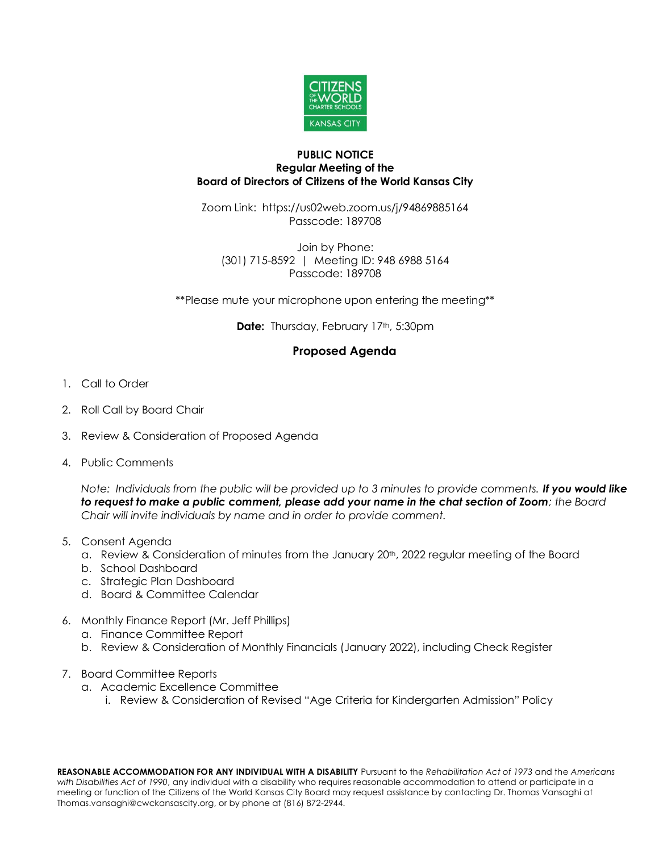

## **PUBLIC NOTICE Regular Meeting of the Board of Directors of Citizens of the World Kansas City**

Zoom Link: https://us02web.zoom.us/j/94869885164 Passcode: 189708

Join by Phone: (301) 715-8592 | Meeting ID: 948 6988 5164 Passcode: 189708

\*\*Please mute your microphone upon entering the meeting\*\*

**Date:** Thursday, February 17th, 5:30pm

## **Proposed Agenda**

- 1. Call to Order
- 2. Roll Call by Board Chair
- 3. Review & Consideration of Proposed Agenda
- 4. Public Comments

*Note: Individuals from the public will be provided up to 3 minutes to provide comments. If you would like to request to make a public comment, please add your name in the chat section of Zoom; the Board Chair will invite individuals by name and in order to provide comment.*

- 5. Consent Agenda
	- a. Review & Consideration of minutes from the January 20<sup>th</sup>, 2022 regular meeting of the Board
	- b. School Dashboard
	- c. Strategic Plan Dashboard
	- d. Board & Committee Calendar
- 6. Monthly Finance Report (Mr. Jeff Phillips)
	- a. Finance Committee Report
	- b. Review & Consideration of Monthly Financials (January 2022), including Check Register
- 7. Board Committee Reports
	- a. Academic Excellence Committee
		- i. Review & Consideration of Revised "Age Criteria for Kindergarten Admission" Policy

**REASONABLE ACCOMMODATION FOR ANY INDIVIDUAL WITH A DISABILITY** Pursuant to the *Rehabilitation Act of 1973* and the *Americans with Disabilities Act of 1990*, any individual with a disability who requires reasonable accommodation to attend or participate in a meeting or function of the Citizens of the World Kansas City Board may request assistance by contacting Dr. Thomas Vansaghi at Thomas.vansaghi@cwckansascity.org, or by phone at (816) 872-2944.